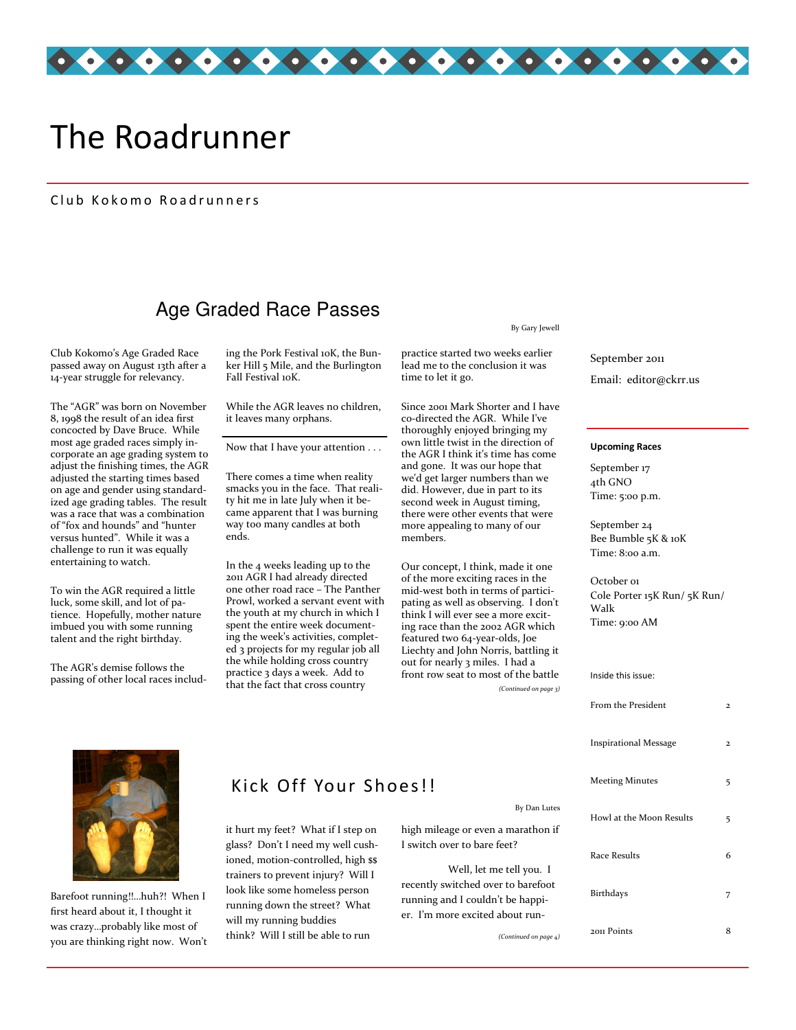

# The Roadrunner

#### Club Kokomo Roadrunners

# Age Graded Race Passes

Club Kokomo's Age Graded Race passed away on August 13th after a 14-year struggle for relevancy.

The "AGR" was born on November 8, 1998 the result of an idea first concocted by Dave Bruce. While most age graded races simply incorporate an age grading system to adjust the finishing times, the AGR adjusted the starting times based on age and gender using standardized age grading tables. The result was a race that was a combination of "fox and hounds" and "hunter versus hunted". While it was a challenge to run it was equally entertaining to watch.

To win the AGR required a little luck, some skill, and lot of patience. Hopefully, mother nature imbued you with some running talent and the right birthday.

The AGR's demise follows the passing of other local races including the Pork Festival 10K, the Bunker Hill 5 Mile, and the Burlington Fall Festival 10K.

While the AGR leaves no children, it leaves many orphans.

Now that I have your attention . . .

There comes a time when reality smacks you in the face. That reality hit me in late July when it became apparent that I was burning way too many candles at both ends.

In the 4 weeks leading up to the 2011 AGR I had already directed one other road race – The Panther Prowl, worked a servant event with the youth at my church in which I spent the entire week documenting the week's activities, completed 3 projects for my regular job all the while holding cross country practice 3 days a week. Add to that the fact that cross country

#### By Gary Jewell

practice started two weeks earlier lead me to the conclusion it was time to let it go.

Since 2001 Mark Shorter and I have co-directed the AGR. While I've thoroughly enjoyed bringing my own little twist in the direction of the AGR I think it's time has come and gone. It was our hope that we'd get larger numbers than we did. However, due in part to its second week in August timing, there were other events that were more appealing to many of our members.

Our concept, I think, made it one of the more exciting races in the mid-west both in terms of participating as well as observing. I don't think I will ever see a more exciting race than the 2002 AGR which featured two 64-year-olds, Joe Liechty and John Norris, battling it out for nearly 3 miles. I had a front row seat to most of the battle

(Continued on page 3)

Email: editor@ckrr.us September 2011

#### Upcoming Races

September 17 4th GNO Time: 5:00 p.m.

September 24 Bee Bumble 5K & 10K Time: 8:00 a.m.

October 01 Cole Porter 15K Run/ 5K Run/ Walk Time: 9:00 AM

| Inside this issue:           |   |
|------------------------------|---|
| From the President           | 2 |
| <b>Inspirational Message</b> | 2 |
| <b>Meeting Minutes</b>       | 5 |
| Howl at the Moon Results     | 5 |
| Race Results                 | 6 |
| Birthdays                    | 7 |
| 2011 Points                  | 8 |



Barefoot running!!…huh?! When I first heard about it, I thought it was crazy…probably like most of you are thinking right now. Won't

## Kick Off Your Shoes!!

it hurt my feet? What if I step on glass? Don't I need my well cushioned, motion-controlled, high \$\$ trainers to prevent injury? Will I look like some homeless person running down the street? What will my running buddies think? Will I still be able to run

high mileage or even a marathon if I switch over to bare feet?

 Well, let me tell you. I recently switched over to barefoot running and I couldn't be happier. I'm more excited about run-

(Continued on page 4)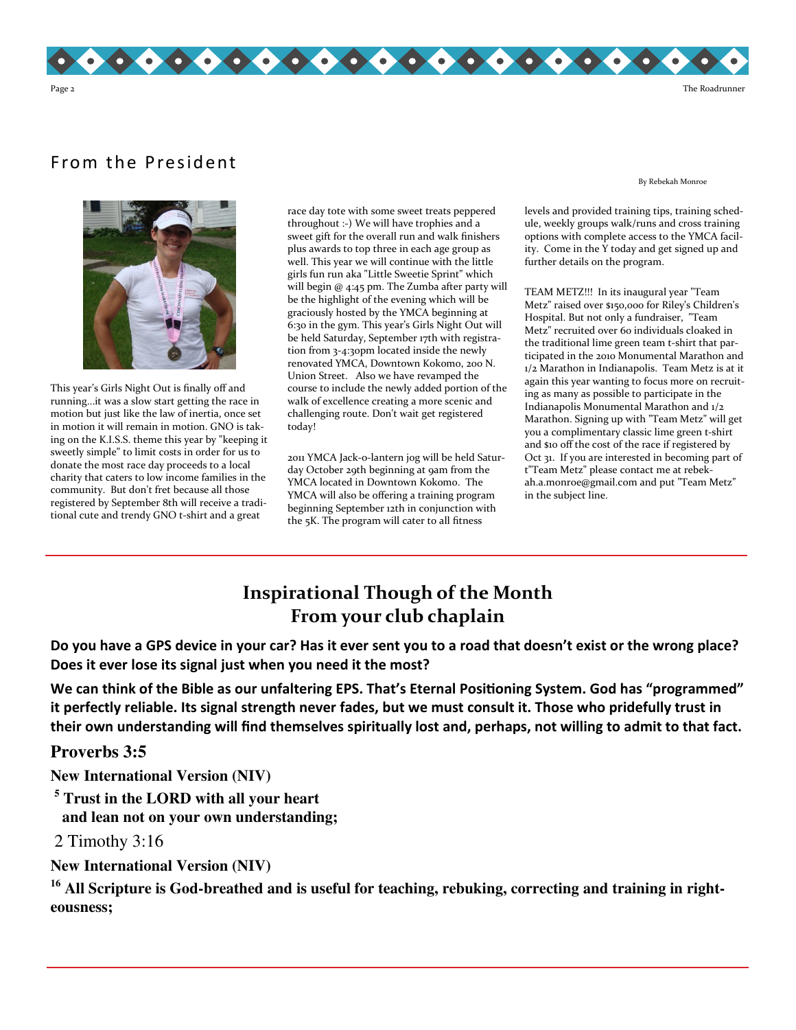

# From the President

By Rebekah Monroe



This year's Girls Night Out is finally off and running...it was a slow start getting the race in motion but just like the law of inertia, once set in motion it will remain in motion. GNO is taking on the K.I.S.S. theme this year by "keeping it sweetly simple" to limit costs in order for us to donate the most race day proceeds to a local charity that caters to low income families in the community. But don't fret because all those registered by September 8th will receive a traditional cute and trendy GNO t-shirt and a great

race day tote with some sweet treats peppered throughout :-) We will have trophies and a sweet gift for the overall run and walk finishers plus awards to top three in each age group as well. This year we will continue with the little girls fun run aka "Little Sweetie Sprint" which will begin @ 4:45 pm. The Zumba after party will be the highlight of the evening which will be graciously hosted by the YMCA beginning at 6:30 in the gym. This year's Girls Night Out will be held Saturday, September 17th with registration from 3-4:30pm located inside the newly renovated YMCA, Downtown Kokomo, 200 N. Union Street. Also we have revamped the course to include the newly added portion of the walk of excellence creating a more scenic and challenging route. Don't wait get registered today!

2011 YMCA Jack-o-lantern jog will be held Saturday October 29th beginning at 9am from the YMCA located in Downtown Kokomo. The YMCA will also be offering a training program beginning September 12th in conjunction with the 5K. The program will cater to all fitness

levels and provided training tips, training schedule, weekly groups walk/runs and cross training options with complete access to the YMCA facility. Come in the Y today and get signed up and further details on the program.

TEAM METZ!!! In its inaugural year "Team Metz" raised over \$150,000 for Riley's Children's Hospital. But not only a fundraiser, "Team Metz" recruited over 60 individuals cloaked in the traditional lime green team t-shirt that participated in the 2010 Monumental Marathon and 1/2 Marathon in Indianapolis. Team Metz is at it again this year wanting to focus more on recruiting as many as possible to participate in the Indianapolis Monumental Marathon and 1/2 Marathon. Signing up with "Team Metz" will get you a complimentary classic lime green t-shirt and \$10 off the cost of the race if registered by Oct 31. If you are interested in becoming part of t"Team Metz" please contact me at rebekah.a.monroe@gmail.com and put "Team Metz" in the subject line.

# Inspirational Though of the Month From your club chaplain

Do you have a GPS device in your car? Has it ever sent you to a road that doesn't exist or the wrong place? Does it ever lose its signal just when you need it the most?

We can think of the Bible as our unfaltering EPS. That's Eternal Positioning System. God has "programmed" it perfectly reliable. Its signal strength never fades, but we must consult it. Those who pridefully trust in their own understanding will find themselves spiritually lost and, perhaps, not willing to admit to that fact.

**Proverbs 3:5** 

**New International Version (NIV)** 

**5 Trust in the LORD with all your heart and lean not on your own understanding;** 

2 Timothy 3:16

**New International Version (NIV)** 

<sup>16</sup> All Scripture is God-breathed and is useful for teaching, rebuking, correcting and training in right**eousness;**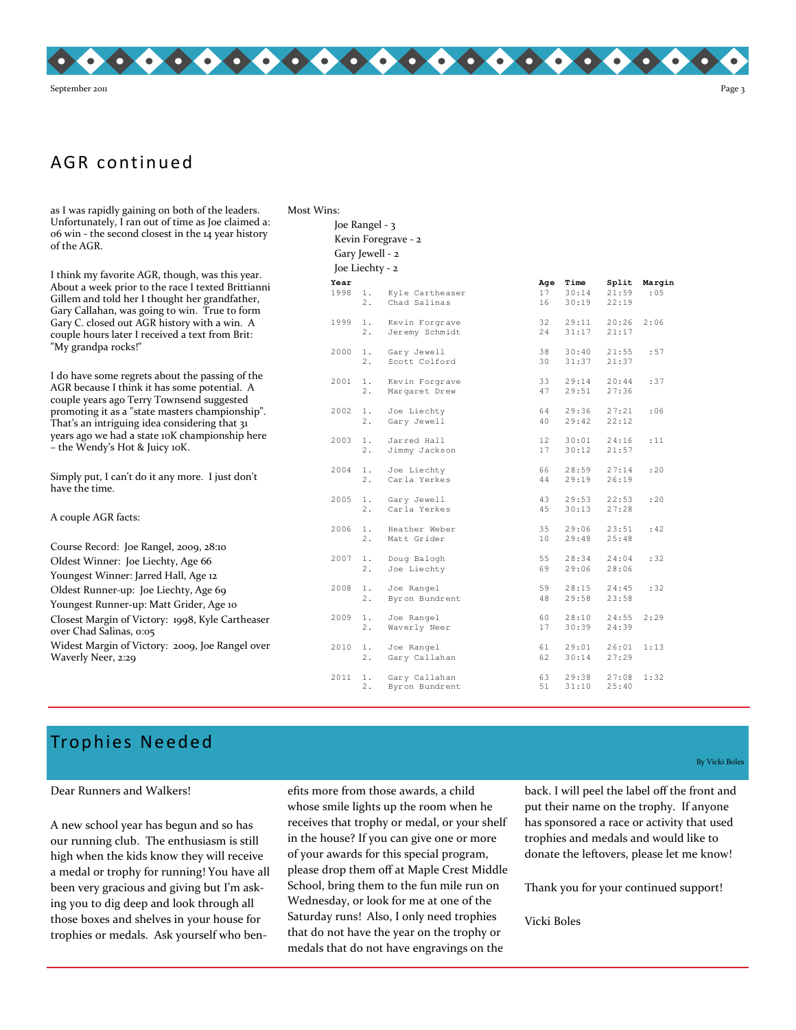

## AGR continued

as I was rapidly gaining on both of the leaders. Unfortunately, I ran out of time as Joe claimed a: 06 win - the second closest in the 14 year history of the AGR.

I think my favorite AGR, though, was this year. About a week prior to the race I texted Brittianni Gillem and told her I thought her grandfather, Gary Callahan, was going to win. True to form Gary C. closed out AGR history with a win. A couple hours later I received a text from Brit: "My grandpa rocks!"

I do have some regrets about the passing of the AGR because I think it has some potential. A couple years ago Terry Townsend suggested promoting it as a "state masters championship". That's an intriguing idea considering that 31 years ago we had a state 10K championship here – the Wendy's Hot & Juicy 10K.

Simply put, I can't do it any more. I just don't have the time.

A couple AGR facts: Course Record: Joe Rangel, 2009, 28:10 Oldest Winner: Joe Liechty, Age 66 Youngest Winner: Jarred Hall, Age 12 Oldest Runner-up: Joe Liechty, Age 69 Youngest Runner-up: Matt Grider, Age 10 Closest Margin of Victory: 1998, Kyle Cartheaser over Chad Salinas, 0:05 Widest Margin of Victory: 2009, Joe Rangel over Waverly Neer, 2:29

| Most Wins: |                 |             |                                  |                       |                        |                         |                |
|------------|-----------------|-------------|----------------------------------|-----------------------|------------------------|-------------------------|----------------|
|            | Joe Rangel - 3  |             |                                  |                       |                        |                         |                |
|            |                 |             | Kevin Foregrave - 2              |                       |                        |                         |                |
|            | Gary Jewell - 2 |             |                                  |                       |                        |                         |                |
|            | Joe Liechty - 2 |             |                                  |                       |                        |                         |                |
|            | Year<br>1998    | 1.<br>2.    | Kyle Cartheaser<br>Chad Salinas  | Age<br>17<br>16       | Time<br>30:14<br>30:19 | Split<br>21:59<br>22:19 | Margin<br>: 05 |
|            | 1999            | 1.<br>2.    | Kevin Forgrave<br>Jeremy Schmidt | 32<br>24              | 29:11<br>31:17         | 20:26<br>21:17          | 2:06           |
|            | 2000            | 1.<br>2.    | Gary Jewell<br>Scott Colford     | 38<br>30              | 30:40<br>31:37         | 21:55<br>21:37          | :57            |
|            | 2001            | 1.<br>2.    | Kevin Forgrave<br>Margaret Drew  | 33<br>47              | 29:14<br>29:51         | 20:44<br>27:36          | :37            |
|            | 2002            | 1.<br>2.    | Joe Liechty<br>Gary Jewell       | 64<br>40              | 29:36<br>29:42         | 27:21<br>22:12          | : 06           |
|            | 2003            | $1$ .<br>2. | Jarred Hall<br>Jimmy Jackson     | 12 <sup>°</sup><br>17 | 30:01<br>30:12         | 24:16<br>21:57          | :11            |
|            | 2004            | $1$ .<br>2. | Joe Liechty<br>Carla Yerkes      | 66<br>44              | 28:59<br>29:19         | 27:14<br>26:19          | : 20           |
|            | 2005            | 1.<br>2.    | Gary Jewell<br>Carla Yerkes      | 43<br>45              | 29:53<br>30:13         | 22:53<br>27:28          | : 20           |
|            | 2006            | 1.<br>2.    | Heather Weber<br>Matt Grider     | 35<br>10              | 29:06<br>29:48         | 23:51<br>25:48          | :42            |
|            | 2007            | $1$ .<br>2. | Doug Balogh<br>Joe Liechty       | 55<br>69              | 28:34<br>29:06         | 24:04<br>28:06          | :32            |
|            | 2008            | 1.<br>2.    | Joe Rangel<br>Byron Bundrent     | 59<br>48              | 28:15<br>29:58         | 24:45<br>23:58          | :32            |
|            | 2009            | 1.<br>2.    | Joe Rangel<br>Waverly Neer       | 60<br>17              | 28:10<br>30:39         | 24:55<br>24:39          | 2:29           |
|            | 2010            | 1.          | Joe Rangel                       | 61                    | 29:01                  | 26:01                   | 1:13           |

 2. Gary Callahan 62 30:14 27:29 2011 1. Gary Callahan 63 29:38 27:08 1:32

2. Byron Bundrent 51

# Trophies Neede d

#### Dear Runners and Walkers!

A new school year has begun and so has our running club. The enthusiasm is still high when the kids know they will receive a medal or trophy for running! You have all been very gracious and giving but I'm asking you to dig deep and look through all those boxes and shelves in your house for trophies or medals. Ask yourself who benefits more from those awards, a child whose smile lights up the room when he receives that trophy or medal, or your shelf in the house? If you can give one or more of your awards for this special program, please drop them off at Maple Crest Middle School, bring them to the fun mile run on Wednesday, or look for me at one of the Saturday runs! Also, I only need trophies that do not have the year on the trophy or medals that do not have engravings on the

By Vicki Boles

back. I will peel the label off the front and put their name on the trophy. If anyone has sponsored a race or activity that used trophies and medals and would like to donate the leftovers, please let me know!

Thank you for your continued support!

Vicki Boles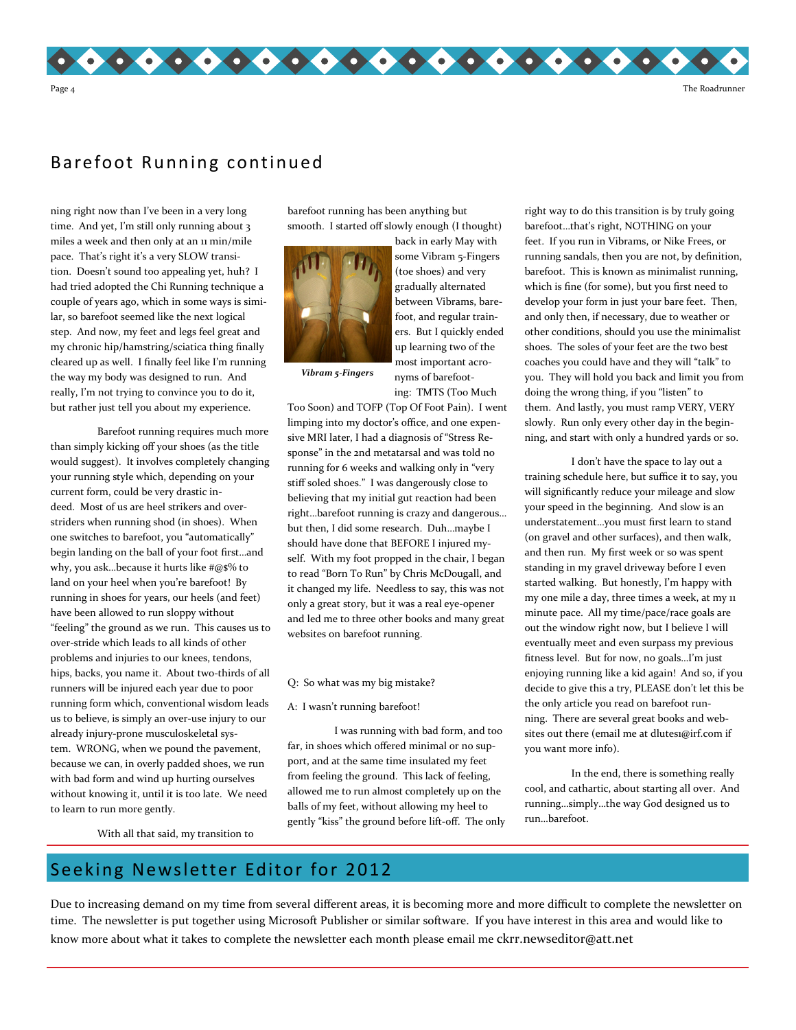

### Barefoot Running continued

ning right now than I've been in a very long time. And yet, I'm still only running about 3 miles a week and then only at an 11 min/mile pace. That's right it's a very SLOW transition. Doesn't sound too appealing yet, huh? I had tried adopted the Chi Running technique a couple of years ago, which in some ways is similar, so barefoot seemed like the next logical step. And now, my feet and legs feel great and my chronic hip/hamstring/sciatica thing finally cleared up as well. I finally feel like I'm running the way my body was designed to run. And really, I'm not trying to convince you to do it, but rather just tell you about my experience.

 Barefoot running requires much more than simply kicking off your shoes (as the title would suggest). It involves completely changing your running style which, depending on your current form, could be very drastic indeed. Most of us are heel strikers and overstriders when running shod (in shoes). When one switches to barefoot, you "automatically" begin landing on the ball of your foot first…and why, you ask...because it hurts like  $#@$\%$  to land on your heel when you're barefoot! By running in shoes for years, our heels (and feet) have been allowed to run sloppy without "feeling" the ground as we run. This causes us to over-stride which leads to all kinds of other problems and injuries to our knees, tendons, hips, backs, you name it. About two-thirds of all runners will be injured each year due to poor running form which, conventional wisdom leads us to believe, is simply an over-use injury to our already injury-prone musculoskeletal system. WRONG, when we pound the pavement, because we can, in overly padded shoes, we run with bad form and wind up hurting ourselves without knowing it, until it is too late. We need to learn to run more gently.

barefoot running has been anything but smooth. I started off slowly enough (I thought)



back in early May with some Vibram 5-Fingers (toe shoes) and very gradually alternated between Vibrams, barefoot, and regular trainers. But I quickly ended up learning two of the most important acronyms of barefooting: TMTS (Too Much

Vibram 5-Fingers

Too Soon) and TOFP (Top Of Foot Pain). I went limping into my doctor's office, and one expensive MRI later, I had a diagnosis of "Stress Response" in the 2nd metatarsal and was told no running for 6 weeks and walking only in "very stiff soled shoes." I was dangerously close to believing that my initial gut reaction had been right…barefoot running is crazy and dangerous… but then, I did some research. Duh…maybe I should have done that BEFORE I injured myself. With my foot propped in the chair, I began to read "Born To Run" by Chris McDougall, and it changed my life. Needless to say, this was not only a great story, but it was a real eye-opener and led me to three other books and many great websites on barefoot running.

#### Q: So what was my big mistake?

A: I wasn't running barefoot!

 I was running with bad form, and too far, in shoes which offered minimal or no support, and at the same time insulated my feet from feeling the ground. This lack of feeling, allowed me to run almost completely up on the balls of my feet, without allowing my heel to gently "kiss" the ground before lift-off. The only

right way to do this transition is by truly going barefoot…that's right, NOTHING on your feet. If you run in Vibrams, or Nike Frees, or running sandals, then you are not, by definition, barefoot. This is known as minimalist running, which is fine (for some), but you first need to develop your form in just your bare feet. Then, and only then, if necessary, due to weather or other conditions, should you use the minimalist shoes. The soles of your feet are the two best coaches you could have and they will "talk" to you. They will hold you back and limit you from doing the wrong thing, if you "listen" to them. And lastly, you must ramp VERY, VERY slowly. Run only every other day in the beginning, and start with only a hundred yards or so.

 I don't have the space to lay out a training schedule here, but suffice it to say, you will significantly reduce your mileage and slow your speed in the beginning. And slow is an understatement…you must first learn to stand (on gravel and other surfaces), and then walk, and then run. My first week or so was spent standing in my gravel driveway before I even started walking. But honestly, I'm happy with my one mile a day, three times a week, at my 11 minute pace. All my time/pace/race goals are out the window right now, but I believe I will eventually meet and even surpass my previous fitness level. But for now, no goals…I'm just enjoying running like a kid again! And so, if you decide to give this a try, PLEASE don't let this be the only article you read on barefoot running. There are several great books and websites out there (email me at dlutes1@irf.com if you want more info).

 In the end, there is something really cool, and cathartic, about starting all over. And running…simply…the way God designed us to run…barefoot.

With all that said, my transition to

### Seeking Newsletter Editor for 2012

Due to increasing demand on my time from several different areas, it is becoming more and more difficult to complete the newsletter on time. The newsletter is put together using Microsoft Publisher or similar software. If you have interest in this area and would like to know more about what it takes to complete the newsletter each month please email me ckrr.newseditor@att.net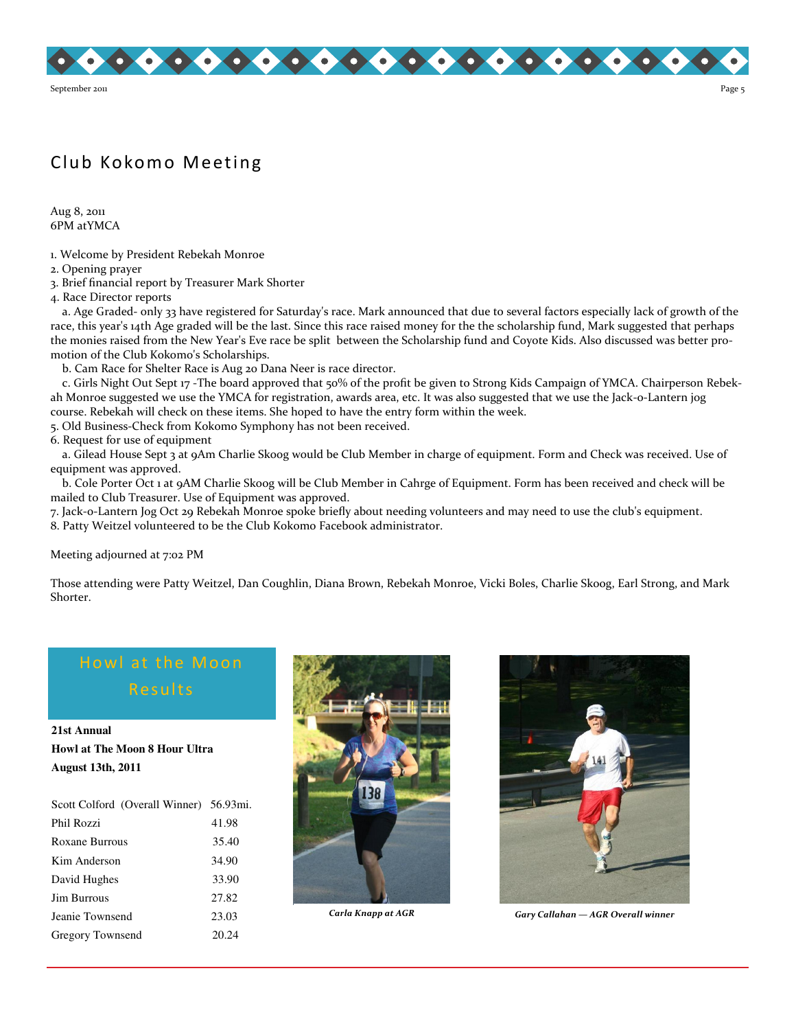

# Club Kokomo Meeting

Aug 8, 2011 6PM atYMCA

1. Welcome by President Rebekah Monroe

2. Opening prayer

3. Brief financial report by Treasurer Mark Shorter

4. Race Director reports

 a. Age Graded- only 33 have registered for Saturday's race. Mark announced that due to several factors especially lack of growth of the race, this year's 14th Age graded will be the last. Since this race raised money for the the scholarship fund, Mark suggested that perhaps the monies raised from the New Year's Eve race be split between the Scholarship fund and Coyote Kids. Also discussed was better promotion of the Club Kokomo's Scholarships.

b. Cam Race for Shelter Race is Aug 20 Dana Neer is race director.

 c. Girls Night Out Sept 17 -The board approved that 50% of the profit be given to Strong Kids Campaign of YMCA. Chairperson Rebekah Monroe suggested we use the YMCA for registration, awards area, etc. It was also suggested that we use the Jack-o-Lantern jog course. Rebekah will check on these items. She hoped to have the entry form within the week.

5. Old Business-Check from Kokomo Symphony has not been received.

6. Request for use of equipment

 a. Gilead House Sept 3 at 9Am Charlie Skoog would be Club Member in charge of equipment. Form and Check was received. Use of equipment was approved.

 b. Cole Porter Oct 1 at 9AM Charlie Skoog will be Club Member in Cahrge of Equipment. Form has been received and check will be mailed to Club Treasurer. Use of Equipment was approved.

7. Jack-o-Lantern Jog Oct 29 Rebekah Monroe spoke briefly about needing volunteers and may need to use the club's equipment. 8. Patty Weitzel volunteered to be the Club Kokomo Facebook administrator.

Meeting adjourned at 7:02 PM

Those attending were Patty Weitzel, Dan Coughlin, Diana Brown, Rebekah Monroe, Vicki Boles, Charlie Skoog, Earl Strong, and Mark Shorter.

# Howl at the Moon Results

**21st Annual Howl at The Moon 8 Hour Ultra August 13th, 2011** 

| Scott Colford (Overall Winner) 56.93mi. |       |
|-----------------------------------------|-------|
| Phil Rozzi                              | 41.98 |
| Roxane Burrous                          | 35.40 |
| Kim Anderson                            | 34.90 |
| David Hughes                            | 33.90 |
| <b>Jim Burrous</b>                      | 27.82 |
| Jeanie Townsend                         | 23.03 |
| Gregory Townsend                        | 20.24 |





Carla Knapp at AGR Gary Callahan — AGR Overall winner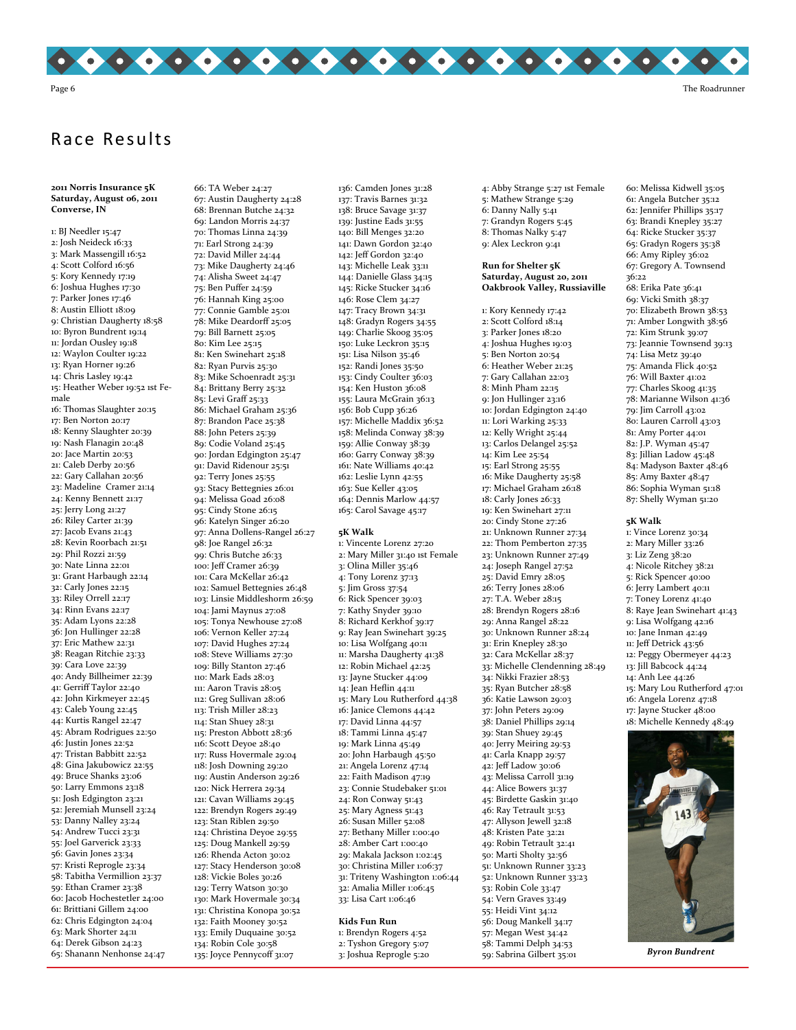

# Race Results

2011 Norris Insurance 5K Saturday, August 06, 2011 Converse, IN

1: BJ Needler 15:47 2: Josh Neideck 16:33 3: Mark Massengill 16:52 4: Scott Colford 16:56 5: Kory Kennedy 17:19 6: Joshua Hughes 17:30 7: Parker Jones 17:46 8: Austin Elliott 18:09 9: Christian Daugherty 18:58 10: Byron Bundrent 19:14 11: Jordan Ousley 19:18 12: Waylon Coulter 19:22 13: Ryan Horner 19:26 14: Chris Lasley 19:42 15: Heather Weber 19:52 1st Female 16: Thomas Slaughter 20:15 17: Ben Norton 20:17 18: Kenny Slaughter 20:39 19: Nash Flanagin 20:48 20: Jace Martin 20:53 21: Caleb Derby 20:56 22: Gary Callahan 20:56 23: Madeline Cramer 21:14 24: Kenny Bennett 21:17 25: Jerry Long 21:27 26: Riley Carter 21:39 27: Jacob Evans 21:43 28: Kevin Roorbach 21:51 29: Phil Rozzi 21:59 30: Nate Linna 22:01 31: Grant Harbaugh 22:14 32: Carly Jones 22:15 33: Riley Orrell 22:17 34: Rinn Evans 22:17 35: Adam Lyons 22:28 36: Jon Hullinger 22:28 37: Eric Mathew 22:31 38: Reagan Ritchie 23:33 39: Cara Love 22:39 40: Andy Billheimer 22:39 41: Gerriff Taylor 22:40 42: John Kirkmeyer 22:45 43: Caleb Young 22:45 44: Kurtis Rangel 22:47 45: Abram Rodrigues 22:50 46: Justin Jones 22:52 47: Tristan Babbitt 22:52 48: Gina Jakubowicz 22:55 49: Bruce Shanks 23:06 50: Larry Emmons 23:18 51: Josh Edgington 23:21 52: Jeremiah Munsell 23:24 53: Danny Nalley 23:24 54: Andrew Tucci 23:31 55: Joel Garverick 23:33 56: Gavin Jones 23:34 57: Kristi Reprogle 23:34 58: Tabitha Vermillion 23:37 59: Ethan Cramer 23:38 60: Jacob Hochestetler 24:00 61: Brittiani Gillem 24:00 62: Chris Edgington 24:04 63: Mark Shorter 24:11 64: Derek Gibson 24:23 65: Shanann Nenhonse 24:47

66: TA Weber 24:27 67: Austin Daugherty 24:28 68: Brennan Butche 24:32 69: Landon Morris 24:37 70: Thomas Linna 24:39 71: Earl Strong 24:39 72: David Miller 24:44 73: Mike Daugherty 24:46 74: Alisha Sweet 24:47 75: Ben Puffer 24:59 76: Hannah King 25:00 77: Connie Gamble 25:01 78: Mike Deardorff 25:05 79: Bill Barnett 25:05 80: Kim Lee 25:15 81: Ken Swinehart 25:18 82: Ryan Purvis 25:30 83: Mike Schoenradt 25:31 84: Brittany Berry 25:32 85: Levi Graff 25:33 86: Michael Graham 25:36 87: Brandon Pace 25:38 88: John Peters 25:39 89: Codie Voland 25:45 90: Jordan Edgington 25:47 91: David Ridenour 25:51 92: Terry Jones 25:55 93: Stacy Bettegnies 26:01 94: Melissa Goad 26:08 95: Cindy Stone 26:15 96: Katelyn Singer 26:20 97: Anna Dollens-Rangel 26:27 98: Joe Rangel 26:32 99: Chris Butche 26:33 100: Jeff Cramer 26:39 101: Cara McKellar 26:42 102: Samuel Bettegnies 26:48 103: Linsie Middleshorm 26:59 104: Jami Maynus 27:08 105: Tonya Newhouse 27:08 106: Vernon Keller 27:24 107: David Hughes 27:24 108: Steve Williams 27:30 109: Billy Stanton 27:46 110: Mark Eads 28:03 111: Aaron Travis 28:05 112: Greg Sullivan 28:06 113: Trish Miller 28:23 114: Stan Shuey 28:31 115: Preston Abbott 28:36 116: Scott Deyoe 28:40 117: Russ Hovermale 29:04 118: Josh Downing 29:20 119: Austin Anderson 29:26 120: Nick Herrera 29:34 121: Cavan Williams 29:45 122: Brendyn Rogers 29:49 123: Stan Riblen 29:50 124: Christina Deyoe 29:55 125: Doug Mankell 29:59 126: Rhenda Acton 30:02 127: Stacy Henderson 30:08 128: Vickie Boles 30:26 129: Terry Watson 30:30 130: Mark Hovermale 30:34 131: Christina Konopa 30:52 132: Faith Mooney 30:52 133: Emily Duquaine 30:52 134: Robin Cole 30:58 135: Joyce Pennycoff 31:07

136: Camden Jones 31:28 137: Travis Barnes 31:32 138: Bruce Savage 31:37 139: Justine Eads 31:55 140: Bill Menges 32:20 141: Dawn Gordon 32:40 142: Jeff Gordon 32:40 143: Michelle Leak 33:11 144: Danielle Glass 34:15 145: Ricke Stucker 34:16 146: Rose Clem 34:27 147: Tracy Brown 34:31 148: Gradyn Rogers 34:55 149: Charlie Skoog 35:05 150: Luke Leckron 35:15 151: Lisa Nilson 35:46 152: Randi Jones 35:50 153: Cindy Coulter 36:03 154: Ken Huston 36:08 155: Laura McGrain 36:13 156: Bob Cupp 36:26 157: Michelle Maddix 36:52 158: Melinda Conway 38:39 159: Allie Conway 38:39 160: Garry Conway 38:39 161: Nate Williams 40:42 162: Leslie Lynn 42:55 163: Sue Keller 43:05 164: Dennis Marlow 44:57 165: Carol Savage 45:17 5K Walk

1: Vincente Lorenz 27:20 2: Mary Miller 31:40 1st Female 3: Olina Miller 35:46 4: Tony Lorenz 37:13 5: Jim Gross 37:54 6: Rick Spencer 39:03 7: Kathy Snyder 39:10 8: Richard Kerkhof 39:17 9: Ray Jean Swinehart 39:25 10: Lisa Wolfgang 40:11 11: Marsha Daugherty 41:38 12: Robin Michael 42:25 13: Jayne Stucker 44:09 14: Jean Heflin 44:11 15: Mary Lou Rutherford 44:38 16: Janice Clemons 44:42 17: David Linna 44:57 18: Tammi Linna 45:47 19: Mark Linna 45:49 20: John Harbaugh 45:50 21: Angela Lorenz 47:14 22: Faith Madison 47:19 23: Connie Studebaker 51:01 24: Ron Conway 51:43 25: Mary Agness 51:43 26: Susan Miller 52:08 27: Bethany Miller 1:00:40 28: Amber Cart 1:00:40 29: Makala Jackson 1:02:45 30: Christina Miller 1:06:37 31: Triteny Washington 1:06:44 32: Amalia Miller 1:06:45 33: Lisa Cart 1:06:46 Kids Fun Run

#### 1: Brendyn Rogers 4:52 2: Tyshon Gregory 5:07 3: Joshua Reprogle 5:20

4: Abby Strange 5:27 1st Female 5: Mathew Strange 5:29 6: Danny Nally 5:41 7: Grandyn Rogers 5:45 8: Thomas Nalky 5:47 9: Alex Leckron 9:41

Run for Shelter 5K Saturday, August 20, 2011 Oakbrook Valley, Russiaville

1: Kory Kennedy 17:42 2: Scott Colford 18:14 3: Parker Jones 18:20 4: Joshua Hughes 19:03 5: Ben Norton 20:54 6: Heather Weber 21:25 7: Gary Callahan 22:03 8: Minh Pham 22:15 9: Jon Hullinger 23:16 10: Jordan Edgington 24:40 11: Lori Warking 25:33 12: Kelly Wright 25:44 13: Carlos Delangel 25:52 14: Kim Lee 25:54 15: Earl Strong 25:55 16: Mike Daugherty 25:58 17: Michael Graham 26:18 18: Carly Jones 26:33 19: Ken Swinehart 27:11 20: Cindy Stone 27:26 21: Unknown Runner 27:34 22: Thom Pemberton 27:35 23: Unknown Runner 27:49 24: Joseph Rangel 27:52 25: David Emry 28:05 26: Terry Jones 28:06 27: T.A. Weber 28:15 28: Brendyn Rogers 28:16 29: Anna Rangel 28:22 30: Unknown Runner 28:24 31: Erin Knepley 28:30 32: Cara McKellar 28:37 33: Michelle Clendenning 28:49 34: Nikki Frazier 28:53 35: Ryan Butcher 28:58 36: Katie Lawson 29:03 37: John Peters 29:09 38: Daniel Phillips 29:14 39: Stan Shuey 29:45 40: Jerry Meiring 29:53 41: Carla Knapp 29:57 42: Jeff Ladow 30:06 43: Melissa Carroll 31:19 44: Alice Bowers 31:37 45: Birdette Gaskin 31:40 46: Ray Tetrault 31:53 47: Allyson Jewell 32:18 48: Kristen Pate 32:21 49: Robin Tetrault 32:41 50: Marti Sholty 32:56 51: Unknown Runner 33:23 52: Unknown Runner 33:23 53: Robin Cole 33:47 54: Vern Graves 33:49 55: Heidi Vint 34:12 56: Doug Mankell 34:17 57: Megan West 34:42 58: Tammi Delph 34:53 59: Sabrina Gilbert 35:01

60: Melissa Kidwell 35:05 61: Angela Butcher 35:12 62: Jennifer Phillips 35:17 63: Brandi Knepley 35:27 64: Ricke Stucker 35:37 65: Gradyn Rogers 35:38 66: Amy Ripley 36:02 67: Gregory A. Townsend 36:22 68: Erika Pate 36:41 69: Vicki Smith 38:37 70: Elizabeth Brown 38:53 71: Amber Longwith 38:56 72: Kim Strunk 39:07 73: Jeannie Townsend 39:13 74: Lisa Metz 39:40 75: Amanda Flick 40:52 76: Will Baxter 41:02 77: Charles Skoog 41:35 78: Marianne Wilson 41:36 79: Jim Carroll 43:02 80: Lauren Carroll 43:03 81: Amy Porter 44:01 82: J.P. Wyman 45:47 83: Jillian Ladow 45:48 84: Madyson Baxter 48:46 85: Amy Baxter 48:47 86: Sophia Wyman 51:18 87: Shelly Wyman 51:20

5K Walk

1: Vince Lorenz 30:34 2: Mary Miller 33:26 3: Liz Zeng 38:20 4: Nicole Ritchey 38:21 5: Rick Spencer 40:00 6: Jerry Lambert 40:11 7: Toney Lorenz 41:40 8: Raye Jean Swinehart 41:43 9: Lisa Wolfgang 42:16 10: Jane Inman 42:49 11: Jeff Detrick 43:56 12: Peggy Obermeyer 44:23 13: Jill Babcock 44:24 14: Anh Lee 44:26 15: Mary Lou Rutherford 47:01 16: Angela Lorenz 47:18 17: Jayne Stucker 48:00

18: Michelle Kennedy 48:49



Byron Bundrent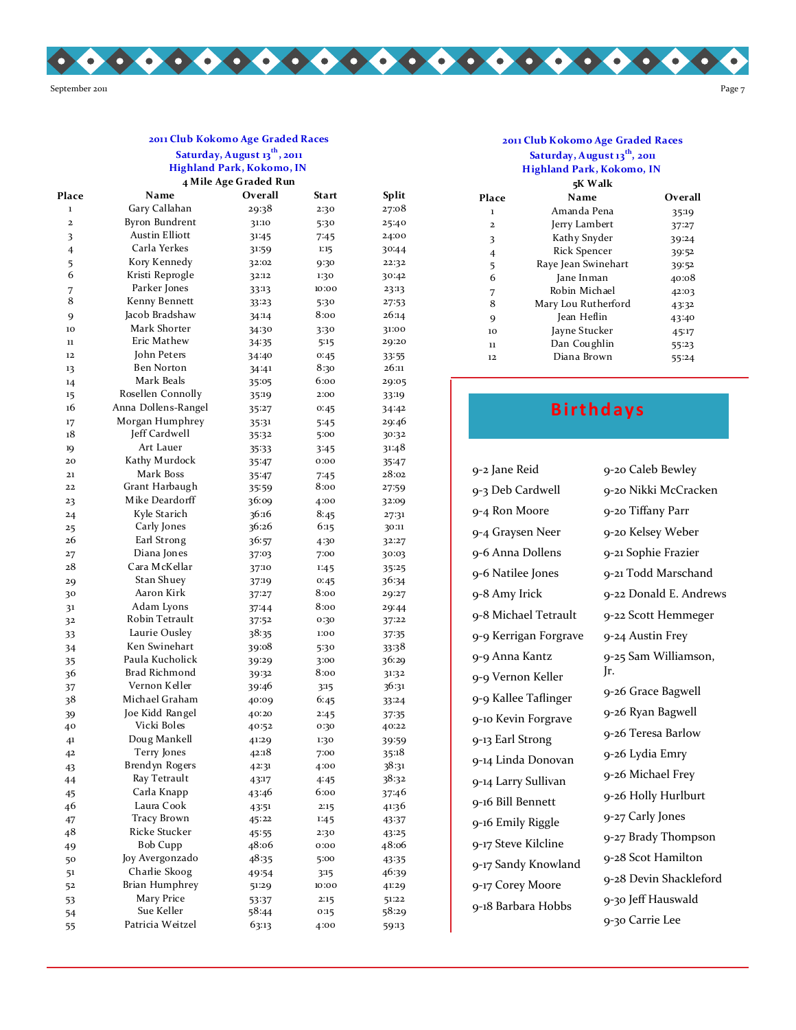

#### Saturday, August 13<sup>th</sup>, 2011 Highland Park, Kokomo, IN 4 Mile Age Graded Run 2011 Club Kokomo Age Graded Races

| Place                   | Name                  | Overall | Start | Split |
|-------------------------|-----------------------|---------|-------|-------|
| $\mathbf 1$             | Gary Callahan         | 29:38   | 2:30  | 27:08 |
| $\overline{\mathbf{c}}$ | <b>Byron Bundrent</b> | 31:10   | 5:30  | 25:40 |
| 3                       | <b>Austin Elliott</b> | 31:45   | 7:45  | 24:00 |
| $\overline{4}$          | Carla Yerkes          | 31:59   | 1:15  | 30:44 |
| 5                       | Kory Kennedy          | 32:02   | 9:30  | 22:32 |
| 6                       | Kristi Reprogle       | 32:12   | 1:30  | 30:42 |
| 7                       | Parker Jones          | 33:13   | 10:00 | 23:13 |
| 8                       | Kenny Bennett         | 33:23   | 5:30  | 27:53 |
| 9                       | Jacob Bradshaw        | 34:14   | 8:00  | 26:14 |
| 10                      | Mark Shorter          | 34:30   | 3:30  | 31:00 |
| 11                      | Eric Mathew           | 34:35   | 5:15  | 29:20 |
| 12                      | John Peters           | 34:40   | 0:45  | 33:55 |
| 13                      | <b>Ben Norton</b>     | 34:41   | 8:30  | 26:11 |
| 14                      | Mark Beals            | 35:05   | 6:00  | 29:05 |
| 15                      | Rosellen Connolly     | 35:19   | 2:00  | 33:19 |
| 16                      | Anna Dollens-Rangel   | 35:27   | 0:45  | 34:42 |
| 17                      | Morgan Humphrey       | 35:31   | 5:45  | 29:46 |
| 18                      | Jeff Cardwell         | 35:32   | 5:00  | 30:32 |
| 19                      | Art Lauer             | 35:33   | 3:45  | 31:48 |
| 20                      | Kathy Murdock         | 35:47   | 00:0  | 35:47 |
| 21                      | Mark Boss             | 35:47   | 7:45  | 28:02 |
| 22                      | Grant Harbaugh        | 35.59   | 8:00  | 27:59 |
| 23                      | Mike Deardorff        | 36:09   | 4:00  | 32:09 |
| 24                      | Kyle Starich          | 36:16   | 8:45  | 27:31 |
| 25                      | Carly Jones           | 36:26   | 6:15  | 30:11 |
| 26                      | Earl Strong           | 36:57   | 4:30  | 32:27 |
| 27                      | Diana Jones           | 37:03   | 7:00  | 30:03 |
| 28                      | Cara McKellar         | 37:10   | 1:45  | 35:25 |
| 29                      | Stan Shuey            | 37:19   | 0:45  | 36:34 |
| 30                      | Aaron Kirk            | 37:27   | 8:00  | 29:27 |
| 31                      | Adam Lyons            | 37.44   | 8:00  | 29:44 |
| 32                      | Robin Tetrault        | 37:52   | 0:30  | 37:22 |
| 33                      | Laurie Ousley         | 38:35   | 1:00  | 37:35 |
| 34                      | Ken Swinehart         | 39:08   | 5:30  | 33:38 |
| 35                      | Paula Kucholick       | 39:29   | 3:00  | 36:29 |
| 36                      | Brad Richmond         | 39:32   | 8:00  | 31:32 |
| 37                      | Vernon Keller         | 39:46   | 3:15  | 36:31 |
| 38                      | Michael Graham        | 40:09   | 6:45  | 33:24 |
| 39                      | Joe Kidd Rangel       | 40:20   | 2:45  | 37:35 |
| 40                      | Vicki Boles           | 40:52   | 0:30  | 40:22 |
| 41                      | Doug Mankell          | 41:29   | 1:30  | 39:59 |
| 42                      | Terry Jones           | 42:18   | 7:00  | 35:18 |
| 43                      | Brendyn Rogers        | 42:31   | 4:00  | 38:31 |
| 44                      | Ray Tetrault          | 43:17   | 4:45  | 38:32 |
| 45                      | Carla Knapp           | 43:46   | 6:00  | 37:46 |
| 46                      | Laura Cook            | 43.51   | 2:15  | 41:36 |
| 47                      | <b>Tracy Brown</b>    | 45:22   | 1:45  | 43:37 |
| 48                      | Ricke Stucker         | 45:55   | 2:30  | 43:25 |
| 49                      | <b>Bob Cupp</b>       | 48:06   | 00:0  | 48:06 |
| 50                      | Joy Avergonzado       | 48:35   | 5:00  | 43:35 |
| 51                      | Charlie Skoog         | 49:54   | 3:15  | 46:39 |
| 52                      | Brian Humphrey        | 51:29   | 10:00 | 41:29 |
| 53                      | Mary Price            | 53:37   | 2:15  | 51:22 |
| 54                      | Sue Keller            | 58:44   | 0:15  | 58:29 |
| 55                      | Patricia Weitzel      | 63:13   | 4:00  | 59:13 |
|                         |                       |         |       |       |

#### 2011 Club Kokomo Age Graded Races Saturday, August 13<sup>th</sup>, 2011 Highland Park, Kokomo, IN

|                         | 5K Walk             |         |
|-------------------------|---------------------|---------|
| Place                   | Name                | Overall |
| 1                       | Amanda Pena         | 35:19   |
| $\overline{\mathbf{2}}$ | Jerry Lambert       | 37.27   |
| 3                       | Kathy Snyder        | 39:24   |
| 4                       | Rick Spencer        | 39.52   |
| 5                       | Raye Jean Swinehart | 39:52   |
| 6                       | Jane Inman          | 40:08   |
| 7                       | Robin Michael       | 42.03   |
| 8                       | Mary Lou Rutherford | 43.32   |
| 9                       | Jean Heflin         | 43.40   |
| 10                      | Jayne Stucker       | 45:17   |
| 11                      | Dan Coughlin        | 55.23   |
| 12                      | Diana Brown         | 55:24   |
|                         |                     |         |

# **Birthdays**

| 9-2 Jane Reid         | 9-20 Caleb Bewley      |
|-----------------------|------------------------|
| 9-3 Deb Cardwell      | 9-20 Nikki McCracken   |
| 9-4 Ron Moore         | 9-20 Tiffany Parr      |
| 9-4 Graysen Neer      | 9-20 Kelsey Weber      |
| 9-6 Anna Dollens      | 9-21 Sophie Frazier    |
| 9-6 Natilee Jones     | 9-21 Todd Marschand    |
| 9-8 Amy Irick         | 9-22 Donald E. Andrews |
| 9-8 Michael Tetrault  | 9-22 Scott Hemmeger    |
| 9-9 Kerrigan Forgrave | 9-24 Austin Frey       |
| 9-9 Anna Kantz        | 9-25 Sam Williamson,   |
| 9-9 Vernon Keller     | Jr.                    |
| 9-9 Kallee Taflinger  | 9-26 Grace Bagwell     |
| 9-10 Kevin Forgrave   | 9-26 Ryan Bagwell      |
| 9-13 Earl Strong      | 9-26 Teresa Barlow     |
| 9-14 Linda Donovan    | 9-26 Lydia Emry        |
| 9-14 Larry Sullivan   | 9-26 Michael Frey      |
| 9-16 Bill Bennett     | 9-26 Holly Hurlburt    |
| 9-16 Emily Riggle     | 9-27 Carly Jones       |
| 9-17 Steve Kilcline   | 9-27 Brady Thompson    |
| 9-17 Sandy Knowland   | 9-28 Scot Hamilton     |
| 9-17 Corey Moore      | 9-28 Devin Shackleford |
| 9-18 Barbara Hobbs    | 9-30 Jeff Hauswald     |
|                       | 9-30 Carrie Lee        |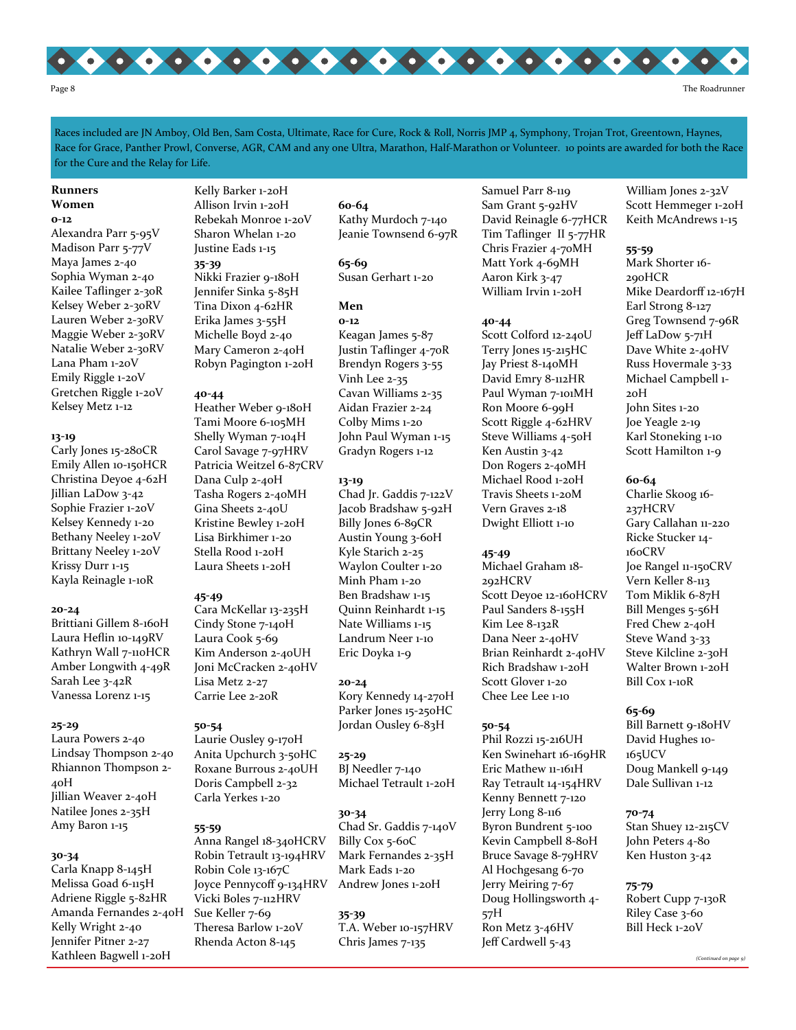

Races included are JN Amboy, Old Ben, Sam Costa, Ultimate, Race for Cure, Rock & Roll, Norris JMP 4, Symphony, Trojan Trot, Greentown, Haynes, Race for Grace, Panther Prowl, Converse, AGR, CAM and any one Ultra, Marathon, Half-Marathon or Volunteer. 10 points are awarded for both the Race for the Cure and the Relay for Life.

#### Runners Women

#### 0-12

Alexandra Parr 5-95V Madison Parr 5-77V Maya James 2-40 Sophia Wyman 2-40 Kailee Taflinger 2-30R Kelsey Weber 2-30RV Lauren Weber 2-30RV Maggie Weber 2-30RV Natalie Weber 2-30RV Lana Pham 1-20V Emily Riggle 1-20V Gretchen Riggle 1-20V Kelsey Metz 1-12

#### 13-19

Carly Jones 15-280CR Emily Allen 10-150HCR Christina Deyoe 4-62H Jillian LaDow 3-42 Sophie Frazier 1-20V Kelsey Kennedy 1-20 Bethany Neeley 1-20V Brittany Neeley 1-20V Krissy Durr 1-15 Kayla Reinagle 1-10R

#### 20-24

Brittiani Gillem 8-160H Laura Heflin 10-149RV Kathryn Wall 7-110HCR Amber Longwith 4-49R Sarah Lee 3-42R Vanessa Lorenz 1-15

#### 25-29

Laura Powers 2-40 Lindsay Thompson 2-40 Rhiannon Thompson 2- 40H Jillian Weaver 2-40H Natilee Jones 2-35H Amy Baron 1-15

#### 30-34

Carla Knapp 8-145H Melissa Goad 6-115H Adriene Riggle 5-82HR Amanda Fernandes 2-40H Kelly Wright 2-40 Jennifer Pitner 2-27 Kathleen Bagwell 1-20H

#### Kelly Barker 1-20H Allison Irvin 1-20H Rebekah Monroe 1-20V Sharon Whelan 1-20 Justine Eads 1-15 35-39 Nikki Frazier 9-180H Jennifer Sinka 5-85H Tina Dixon 4-62HR Erika James 3-55H Michelle Boyd 2-40 Mary Cameron 2-40H Robyn Pagington 1-20H

#### 40-44

Heather Weber 9-180H Tami Moore 6-105MH Shelly Wyman 7-104H Carol Savage 7-97HRV Patricia Weitzel 6-87CRV Dana Culp 2-40H Tasha Rogers 2-40MH Gina Sheets 2-40U Kristine Bewley 1-20H Lisa Birkhimer 1-20 Stella Rood 1-20H Laura Sheets 1-20H

#### 45-49

Cara McKellar 13-235H Cindy Stone 7-140H Laura Cook 5-69 Kim Anderson 2-40UH Joni McCracken 2-40HV Lisa Metz 2-27 Carrie Lee 2-20R

50-54 Laurie Ousley 9-170H Anita Upchurch 3-50HC Roxane Burrous 2-40UH Doris Campbell 2-32 Carla Yerkes 1-20

#### 55-59

Anna Rangel 18-340HCRV Robin Tetrault 13-194HRV Robin Cole 13-167C Joyce Pennycoff 9-134HRV Vicki Boles 7-112HRV Sue Keller 7-69 Theresa Barlow 1-20V Rhenda Acton 8-145

60-64 Kathy Murdoch 7-140 Jeanie Townsend 6-97R

65-69 Susan Gerhart 1-20

#### Men

0-12 Keagan James 5-87 Justin Taflinger 4-70R Brendyn Rogers 3-55 Vinh Lee 2-35 Cavan Williams 2-35 Aidan Frazier 2-24 Colby Mims 1-20 John Paul Wyman 1-15 Gradyn Rogers 1-12

#### 13-19

Chad Jr. Gaddis 7-122V Jacob Bradshaw 5-92H Billy Jones 6-89CR Austin Young 3-60H Kyle Starich 2-25 Waylon Coulter 1-20 Minh Pham 1-20 Ben Bradshaw 1-15 Quinn Reinhardt 1-15 Nate Williams 1-15 Landrum Neer 1-10 Eric Doyka 1-9

20-24

Kory Kennedy 14-270H Parker Jones 15-250HC Jordan Ousley 6-83H

25-29 BJ Needler 7-140 Michael Tetrault 1-20H

### 30-34

Chad Sr. Gaddis 7-140V Billy Cox 5-60C Mark Fernandes 2-35H Mark Eads 1-20 Andrew Jones 1-20H

35-39 T.A. Weber 10-157HRV Chris James 7-135

Samuel Parr 8-119 Sam Grant 5-92HV David Reinagle 6-77HCR Tim Taflinger II 5-77HR Chris Frazier 4-70MH Matt York 4-69MH Aaron Kirk 3-47 William Irvin 1-20H

#### 40-44

Scott Colford 12-240U Terry Jones 15-215HC Jay Priest 8-140MH David Emry 8-112HR Paul Wyman 7-101MH Ron Moore 6-99H Scott Riggle 4-62HRV Steve Williams 4-50H Ken Austin 3-42 Don Rogers 2-40MH Michael Rood 1-20H Travis Sheets 1-20M Vern Graves 2-18 Dwight Elliott 1-10

#### 45-49

Michael Graham 18- 292HCRV Scott Deyoe 12-160HCRV Paul Sanders 8-155H Kim Lee 8-132R Dana Neer 2-40HV Brian Reinhardt 2-40HV Rich Bradshaw 1-20H Scott Glover 1-20 Chee Lee Lee 1-10

#### 50-54

Phil Rozzi 15-216UH Ken Swinehart 16-169HR Eric Mathew 11-161H Ray Tetrault 14-154HRV Kenny Bennett 7-120 Jerry Long 8-116 Byron Bundrent 5-100 Kevin Campbell 8-80H Bruce Savage 8-79HRV Al Hochgesang 6-70 Jerry Meiring 7-67 Doug Hollingsworth 4- 57H Ron Metz 3-46HV Jeff Cardwell 5-43

William Jones 2-32V Scott Hemmeger 1-20H Keith McAndrews 1-15

#### 55-59

Mark Shorter 16- 290HCR Mike Deardorff 12-167H Earl Strong 8-127 Greg Townsend 7-96R Jeff LaDow 5-71H Dave White 2-40HV Russ Hovermale 3-33 Michael Campbell 1- 20H John Sites 1-20 Joe Yeagle 2-19 Karl Stoneking 1-10 Scott Hamilton 1-9

#### 60-64

Charlie Skoog 16- 237HCRV Gary Callahan 11-220 Ricke Stucker 14- 160CRV Joe Rangel 11-150CRV Vern Keller 8-113 Tom Miklik 6-87H Bill Menges 5-56H Fred Chew 2-40H Steve Wand 3-33 Steve Kilcline 2-30H Walter Brown 1-20H Bill Cox 1-10R

#### 65-69

Bill Barnett 9-180HV David Hughes 10- 165UCV Doug Mankell 9-149 Dale Sullivan 1-12

#### 70-74

Stan Shuey 12-215CV John Peters 4-80 Ken Huston 3-42

75-79 Robert Cupp 7-130R Riley Case 3-60 Bill Heck 1-20V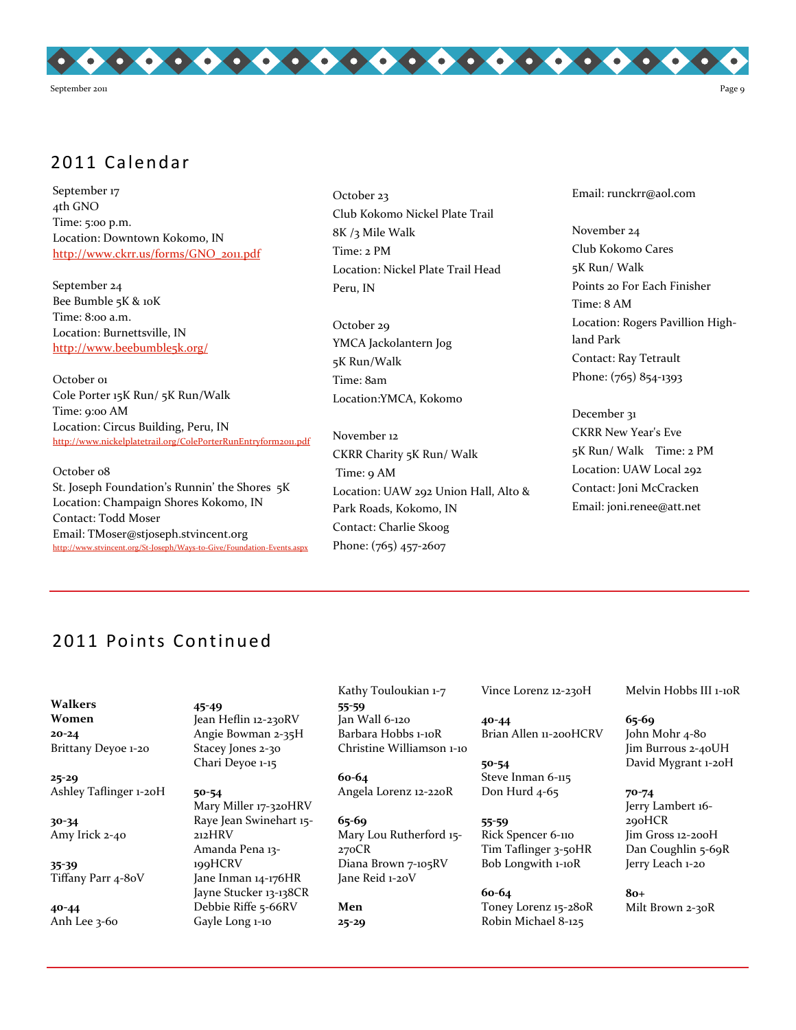

# 2011 Calendar

September 17 4th GNO Time: 5:00 p.m. Location: Downtown Kokomo, IN http://www.ckrr.us/forms/GNO\_2011.pdf

September 24 Bee Bumble 5K & 10K Time: 8:00 a.m. Location: Burnettsville, IN http://www.beebumble5k.org/

October o1 Cole Porter 15K Run/ 5K Run/Walk Time: 9:00 AM Location: Circus Building, Peru, IN http://www.nickelplatetrail.org/ColePorterRunEntryform2011.pdf

October <sub>08</sub> St. Joseph Foundation's Runnin' the Shores 5K Location: Champaign Shores Kokomo, IN Contact: Todd Moser Email: TMoser@stjoseph.stvincent.org http://www.stvincent.org/St-Joseph/Ways-to-Give/Foundation-Events.aspx October 23 Club Kokomo Nickel Plate Trail 8K /3 Mile Walk Time: 2 PM Location: Nickel Plate Trail Head Peru, IN

October 29 YMCA Jackolantern Jog 5K Run/Walk Time: 8am Location:YMCA, Kokomo

November 12 CKRR Charity 5K Run/ Walk Time: 9 AM Location: UAW 292 Union Hall, Alto & Park Roads, Kokomo, IN Contact: Charlie Skoog Phone: (765) 457-2607

Email: runckrr@aol.com

November 24 Club Kokomo Cares 5K Run/ Walk Points 20 For Each Finisher Time: 8 AM Location: Rogers Pavillion Highland Park Contact: Ray Tetrault Phone: (765) 854-1393

December 31 CKRR New Year's Eve 5K Run/ Walk Time: 2 PM Location: UAW Local 292 Contact: Joni McCracken Email: joni.renee@att.net

# 2011 Points Continued

Walkers Women 20-24 Brittany Deyoe 1-20

25-29 Ashley Taflinger 1-20H

30-34 Amy Irick 2-40

35-39 Tiffany Parr 4-80V

40-44 Anh Lee 3-60

45-49 Jean Heflin 12-230RV Angie Bowman 2-35H Stacey Jones 2-30 Chari Deyoe 1-15

50-54 Mary Miller 17-320HRV Raye Jean Swinehart 15- 212HRV Amanda Pena 13- 199HCRV Jane Inman 14-176HR Jayne Stucker 13-138CR Debbie Riffe 5-66RV Gayle Long 1-10

Kathy Touloukian 1-7 55-59

Jan Wall 6-120 Barbara Hobbs 1-10R Christine Williamson 1-10

60-64 Angela Lorenz 12-220R

65-69 Mary Lou Rutherford 15- 270CR Diana Brown 7-105RV Jane Reid 1-20V

Men 25-29 Vince Lorenz 12-230H

40-44 Brian Allen 11-200HCRV

50-54 Steve Inman 6-115 Don Hurd 4-65

55-59 Rick Spencer 6-110 Tim Taflinger 3-50HR Bob Longwith 1-10R

60-64 Toney Lorenz 15-280R Robin Michael 8-125

Melvin Hobbs III 1-10R

65-69 John Mohr 4-80 Jim Burrous 2-40UH David Mygrant 1-20H

70-74 Jerry Lambert 16- 290HCR Jim Gross 12-200H Dan Coughlin 5-69R Jerry Leach 1-20

80+ Milt Brown 2-30R